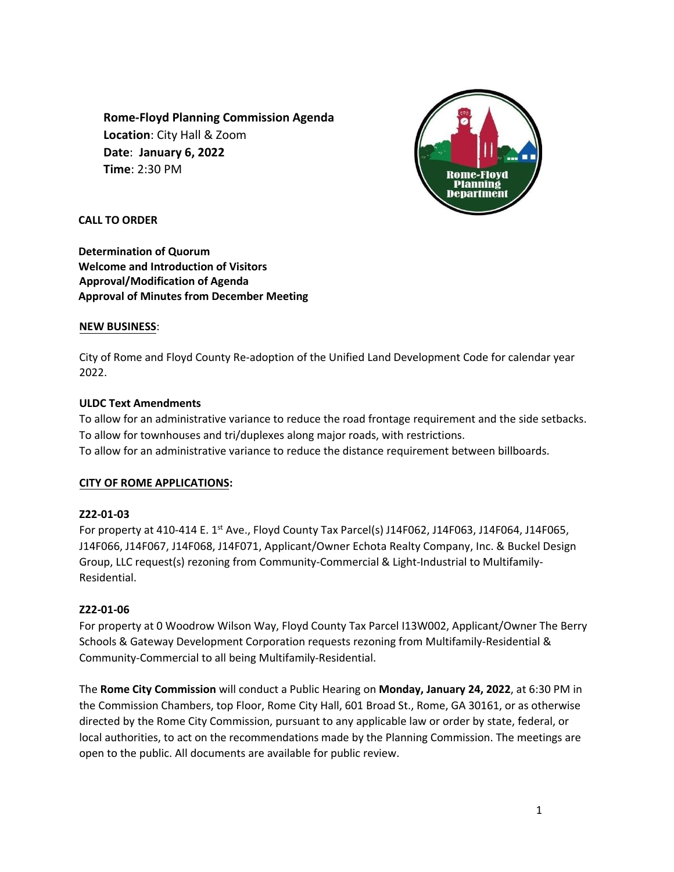**Rome-Floyd Planning Commission Agenda Location**: City Hall & Zoom **Date**: **January 6, 2022 Time**: 2:30 PM



**CALL TO ORDER** 

**Determination of Quorum Welcome and Introduction of Visitors Approval/Modification of Agenda Approval of Minutes from December Meeting**

# **NEW BUSINESS**:

City of Rome and Floyd County Re-adoption of the Unified Land Development Code for calendar year 2022.

# **ULDC Text Amendments**

To allow for an administrative variance to reduce the road frontage requirement and the side setbacks. To allow for townhouses and tri/duplexes along major roads, with restrictions. To allow for an administrative variance to reduce the distance requirement between billboards.

## **CITY OF ROME APPLICATIONS:**

## **Z22-01-03**

For property at 410-414 E. 1<sup>st</sup> Ave., Floyd County Tax Parcel(s) J14F062, J14F063, J14F064, J14F065, J14F066, J14F067, J14F068, J14F071, Applicant/Owner Echota Realty Company, Inc. & Buckel Design Group, LLC request(s) rezoning from Community-Commercial & Light-Industrial to Multifamily-Residential.

## **Z22-01-06**

For property at 0 Woodrow Wilson Way, Floyd County Tax Parcel I13W002, Applicant/Owner The Berry Schools & Gateway Development Corporation requests rezoning from Multifamily-Residential & Community-Commercial to all being Multifamily-Residential.

The **Rome City Commission** will conduct a Public Hearing on **Monday, January 24, 2022**, at 6:30 PM in the Commission Chambers, top Floor, Rome City Hall, 601 Broad St., Rome, GA 30161, or as otherwise directed by the Rome City Commission, pursuant to any applicable law or order by state, federal, or local authorities, to act on the recommendations made by the Planning Commission. The meetings are open to the public. All documents are available for public review.